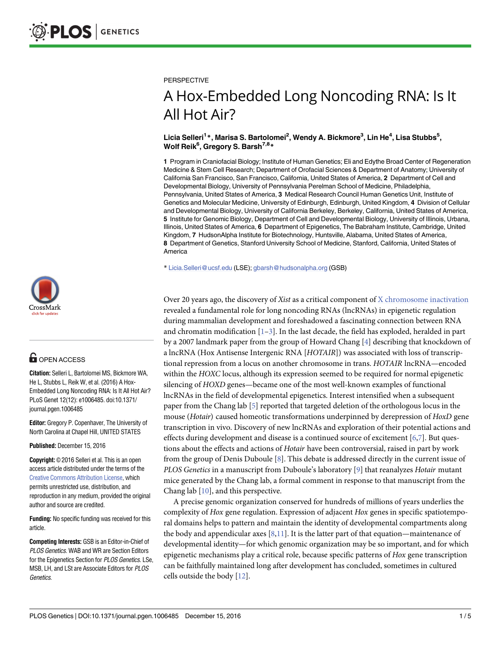

## **G** OPEN ACCESS

**Citation:** Selleri L, Bartolomei MS, Bickmore WA, He L, Stubbs L, Reik W, et al. (2016) A Hox-Embedded Long Noncoding RNA: Is It All Hot Air? PLoS Genet 12(12): e1006485. doi:10.1371/ journal.pgen.1006485

**Editor:** Gregory P. Copenhaver, The University of North Carolina at Chapel Hill, UNITED STATES

**Published:** December 15, 2016

**Copyright:** © 2016 Selleri et al. This is an open access article distributed under the terms of the Creative Commons [Attribution](http://creativecommons.org/licenses/by/4.0/) License, which permits unrestricted use, distribution, and reproduction in any medium, provided the original author and source are credited.

**Funding:** No specific funding was received for this article.

**Competing Interests:** GSB is an Editor-in-Chief of PLOS Genetics. WAB and WR are Section Editors for the Epigenetics Section for PLOS Genetics. LSe. MSB, LH, and LSt are Associate Editors for PLOS **Genetics** 

#### <span id="page-0-0"></span>**PERSPECTIVE**

# A Hox-Embedded Long Noncoding RNA: Is It All Hot Air?

### $\blacksquare$  Licia Selleri<sup>1</sup> \*, Marisa S. Bartolomei<sup>2</sup>, Wendy A. Bickmore $^3$ , Lin He $^4$ , Lisa Stubbs $^5$ , **Wolf Reik6 , Gregory S. Barsh7,8\***

**1** Program in Craniofacial Biology; Institute of Human Genetics; Eli and Edythe Broad Center of Regeneration Medicine & Stem Cell Research; Department of Orofacial Sciences & Department of Anatomy; University of California San Francisco, San Francisco, California, United States of America, **2** Department of Cell and Developmental Biology, University of Pennsylvania Perelman School of Medicine, Philadelphia, Pennsylvania, United States of America, **3** Medical Research Council Human Genetics Unit, Institute of Genetics and Molecular Medicine, University of Edinburgh, Edinburgh, United Kingdom, **4** Division of Cellular and Developmental Biology, University of California Berkeley, Berkeley, California, United States of America, **5** Institute for Genomic Biology, Department of Cell and Developmental Biology, University of Illinois, Urbana, Illinois, United States of America, **6** Department of Epigenetics, The Babraham Institute, Cambridge, United Kingdom, **7** HudsonAlpha Institute for Biotechnology, Huntsville, Alabama, United States of America, **8** Department of Genetics, Stanford University School of Medicine, Stanford, California, United States of America

\* Licia.Selleri@ucsf.edu (LSE); gbarsh@hudsonalpha.org (GSB)

Over 20 years ago, the discovery of *Xist* as a critical component of X [chromosome](https://en.wikipedia.org/wiki/X_inactivation) inactivation revealed a fundamental role for long noncoding RNAs (lncRNAs) in epigenetic regulation during mammalian development and foreshadowed a fascinating connection between RNA and chromatin modification  $[1-3]$  $[1-3]$  $[1-3]$  $[1-3]$  $[1-3]$ . In the last decade, the field has exploded, heralded in part by a 2007 landmark paper from the group of Howard Chang [\[4](#page-3-0)] describing that knockdown of a lncRNA (Hox Antisense Intergenic RNA [*HOTAIR*]) was associated with loss of transcriptional repression from a locus on another chromosome in trans. *HOTAIR* lncRNA—encoded within the *HOXC* locus, although its expression seemed to be required for normal epigenetic silencing of *HOXD* genes—became one of the most well-known examples of functional lncRNAs in the field of developmental epigenetics. Interest intensified when a subsequent paper from the Chang lab [[5](#page-3-0)] reported that targeted deletion of the orthologous locus in the mouse (*Hotair*) caused homeotic transformations underpinned by derepression of *HoxD* gene transcription in vivo. Discovery of new lncRNAs and exploration of their potential actions and effects during development and disease is a continued source of excitement [\[6,7\]](#page-3-0). But questions about the effects and actions of *Hotair* have been controversial, raised in part by work from the group of Denis Duboule [[8\]](#page-3-0). This debate is addressed directly in the current issue of *PLOS Genetics* in a manuscript from Duboule's laboratory [[9](#page-3-0)] that reanalyzes *Hotair* mutant mice generated by the Chang lab, a formal comment in response to that manuscript from the Chang lab [\[10\]](#page-3-0), and this perspective.

A precise genomic organization conserved for hundreds of millions of years underlies the complexity of *Hox* gene regulation. Expression of adjacent *Hox* genes in specific spatiotemporal domains helps to pattern and maintain the identity of developmental compartments along the body and appendicular axes  $[8,11]$ . It is the latter part of that equation—maintenance of developmental identity—for which genomic organization may be so important, and for which epigenetic mechanisms play a critical role, because specific patterns of *Hox* gene transcription can be faithfully maintained long after development has concluded, sometimes in cultured cells outside the body [[12](#page-3-0)].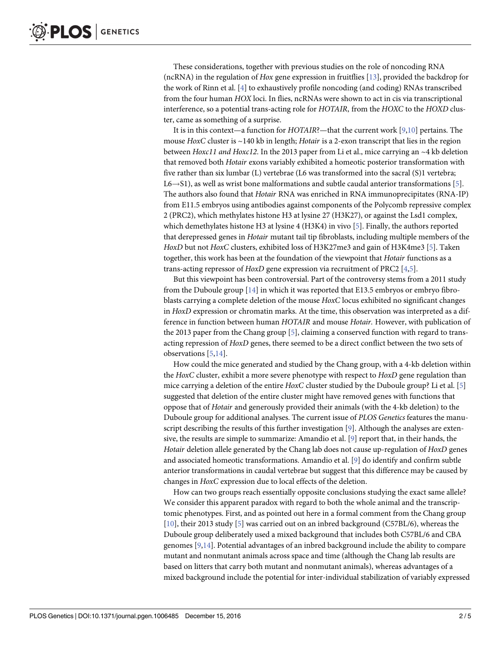<span id="page-1-0"></span>These considerations, together with previous studies on the role of noncoding RNA (ncRNA) in the regulation of *Hox* gene expression in fruitflies [\[13\]](#page-3-0), provided the backdrop for the work of Rinn et al. [[4\]](#page-3-0) to exhaustively profile noncoding (and coding) RNAs transcribed from the four human *HOX* loci. In flies, ncRNAs were shown to act in cis via transcriptional interference, so a potential trans-acting role for *HOTAIR*, from the *HOXC* to the *HOXD* cluster, came as something of a surprise.

It is in this context—a function for *HOTAIR*?—that the current work [\[9,10\]](#page-3-0) pertains. The mouse *HoxC* cluster is ~140 kb in length; *Hotair* is a 2-exon transcript that lies in the region between *Hoxc11 and Hoxc12*. In the 2013 paper from Li et al., mice carrying an ~4 kb deletion that removed both *Hotair* exons variably exhibited a homeotic posterior transformation with five rather than six lumbar (L) vertebrae (L6 was transformed into the sacral (S)1 vertebra;  $L6 \rightarrow S1$ ), as well as wrist bone malformations and subtle caudal anterior transformations [[5](#page-3-0)]. The authors also found that *Hotair* RNA was enriched in RNA immunoprecipitates (RNA-IP) from E11.5 embryos using antibodies against components of the Polycomb repressive complex 2 (PRC2), which methylates histone H3 at lysine 27 (H3K27), or against the Lsd1 complex, which demethylates histone H3 at lysine 4 (H3K4) in vivo [[5](#page-3-0)]. Finally, the authors reported that derepressed genes in *Hotair* mutant tail tip fibroblasts, including multiple members of the *HoxD* but not *HoxC* clusters, exhibited loss of H3K27me3 and gain of H3K4me3 [[5](#page-3-0)]. Taken together, this work has been at the foundation of the viewpoint that *Hotair* functions as a trans-acting repressor of *HoxD* gene expression via recruitment of PRC2 [[4](#page-3-0),[5](#page-3-0)].

But this viewpoint has been controversial. Part of the controversy stems from a 2011 study from the Duboule group [\[14\]](#page-4-0) in which it was reported that E13.5 embryos or embryo fibroblasts carrying a complete deletion of the mouse *HoxC* locus exhibited no significant changes in *HoxD* expression or chromatin marks. At the time, this observation was interpreted as a difference in function between human *HOTAIR* and mouse *Hotair*. However, with publication of the 2013 paper from the Chang group [[5](#page-3-0)], claiming a conserved function with regard to transacting repression of *HoxD* genes, there seemed to be a direct conflict between the two sets of observations [\[5,](#page-3-0)[14\]](#page-4-0).

How could the mice generated and studied by the Chang group, with a 4-kb deletion within the *HoxC* cluster, exhibit a more severe phenotype with respect to *HoxD* gene regulation than mice carrying a deletion of the entire *HoxC* cluster studied by the Duboule group? Li et al. [[5](#page-3-0)] suggested that deletion of the entire cluster might have removed genes with functions that oppose that of *Hotair* and generously provided their animals (with the 4-kb deletion) to the Duboule group for additional analyses. The current issue of *PLOS Genetics* features the manu-script describing the results of this further investigation [\[9](#page-3-0)]. Although the analyses are extensive, the results are simple to summarize: Amandio et al. [[9](#page-3-0)] report that, in their hands, the *Hotair* deletion allele generated by the Chang lab does not cause up-regulation of *HoxD* genes and associated homeotic transformations. Amandio et al. [[9](#page-3-0)] do identify and confirm subtle anterior transformations in caudal vertebrae but suggest that this difference may be caused by changes in *HoxC* expression due to local effects of the deletion.

How can two groups reach essentially opposite conclusions studying the exact same allele? We consider this apparent paradox with regard to both the whole animal and the transcriptomic phenotypes. First, and as pointed out here in a formal comment from the Chang group [\[10\]](#page-3-0), their 2013 study [\[5](#page-3-0)] was carried out on an inbred background (C57BL/6), whereas the Duboule group deliberately used a mixed background that includes both C57BL/6 and CBA genomes [\[9,](#page-3-0)[14\]](#page-4-0). Potential advantages of an inbred background include the ability to compare mutant and nonmutant animals across space and time (although the Chang lab results are based on litters that carry both mutant and nonmutant animals), whereas advantages of a mixed background include the potential for inter-individual stabilization of variably expressed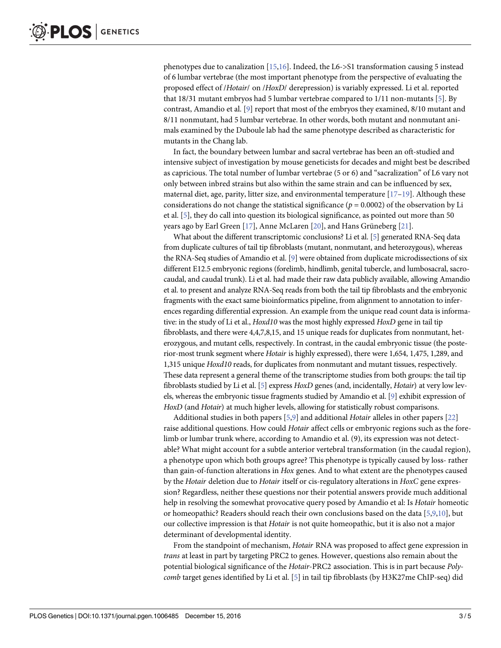<span id="page-2-0"></span>phenotypes due to canalization [\[15,16](#page-4-0)]. Indeed, the L6->S1 transformation causing 5 instead of 6 lumbar vertebrae (the most important phenotype from the perspective of evaluating the proposed effect of /*Hotair*/ on /*HoxD*/ derepression) is variably expressed. Li et al. reported that 18/31 mutant embryos had 5 lumbar vertebrae compared to 1/11 non-mutants [\[5](#page-3-0)]. By contrast, Amandio et al. [\[9\]](#page-3-0) report that most of the embryos they examined, 8/10 mutant and 8/11 nonmutant, had 5 lumbar vertebrae. In other words, both mutant and nonmutant animals examined by the Duboule lab had the same phenotype described as characteristic for mutants in the Chang lab.

In fact, the boundary between lumbar and sacral vertebrae has been an oft-studied and intensive subject of investigation by mouse geneticists for decades and might best be described as capricious. The total number of lumbar vertebrae (5 or 6) and "sacralization" of L6 vary not only between inbred strains but also within the same strain and can be influenced by sex, maternal diet, age, parity, litter size, and environmental temperature  $[17-19]$ . Although these considerations do not change the statistical significance ( $p = 0.0002$ ) of the observation by Li et al. [\[5\]](#page-3-0), they do call into question its biological significance, as pointed out more than 50 years ago by Earl Green [[17](#page-4-0)], Anne McLaren [\[20\]](#page-4-0), and Hans Grüneberg [\[21\]](#page-4-0).

What about the different transcriptomic conclusions? Li et al. [\[5\]](#page-3-0) generated RNA-Seq data from duplicate cultures of tail tip fibroblasts (mutant, nonmutant, and heterozygous), whereas the RNA-Seq studies of Amandio et al. [\[9\]](#page-3-0) were obtained from duplicate microdissections of six different E12.5 embryonic regions (forelimb, hindlimb, genital tubercle, and lumbosacral, sacrocaudal, and caudal trunk). Li et al. had made their raw data publicly available, allowing Amandio et al. to present and analyze RNA-Seq reads from both the tail tip fibroblasts and the embryonic fragments with the exact same bioinformatics pipeline, from alignment to annotation to inferences regarding differential expression. An example from the unique read count data is informative: in the study of Li et al., *Hoxd10* was the most highly expressed *HoxD* gene in tail tip fibroblasts, and there were 4,4,7,8,15, and 15 unique reads for duplicates from nonmutant, heterozygous, and mutant cells, respectively. In contrast, in the caudal embryonic tissue (the posterior-most trunk segment where *Hotair* is highly expressed), there were 1,654, 1,475, 1,289, and 1,315 unique *Hoxd10* reads, for duplicates from nonmutant and mutant tissues, respectively. These data represent a general theme of the transcriptome studies from both groups: the tail tip fibroblasts studied by Li et al. [[5](#page-3-0)] express *HoxD* genes (and, incidentally, *Hotair*) at very low levels, whereas the embryonic tissue fragments studied by Amandio et al. [[9](#page-3-0)] exhibit expression of *HoxD* (and *Hotair*) at much higher levels, allowing for statistically robust comparisons.

Additional studies in both papers [[5,9\]](#page-3-0) and additional *Hotair* alleles in other papers [\[22\]](#page-4-0) raise additional questions. How could *Hotair* affect cells or embryonic regions such as the forelimb or lumbar trunk where, according to Amandio et al. (9), its expression was not detectable? What might account for a subtle anterior vertebral transformation (in the caudal region), a phenotype upon which both groups agree? This phenotype is typically caused by loss- rather than gain-of-function alterations in *Hox* genes. And to what extent are the phenotypes caused by the *Hotair* deletion due to *Hotair* itself or cis-regulatory alterations in *HoxC* gene expression? Regardless, neither these questions nor their potential answers provide much additional help in resolving the somewhat provocative query posed by Amandio et al: Is *Hotair* homeotic or homeopathic? Readers should reach their own conclusions based on the data [\[5,9,10\]](#page-3-0), but our collective impression is that *Hotair* is not quite homeopathic, but it is also not a major determinant of developmental identity.

From the standpoint of mechanism, *Hotair* RNA was proposed to affect gene expression in *trans* at least in part by targeting PRC2 to genes. However, questions also remain about the potential biological significance of the *Hotair*-PRC2 association. This is in part because *Polycomb* target genes identified by Li et al. [\[5](#page-3-0)] in tail tip fibroblasts (by H3K27me ChIP-seq) did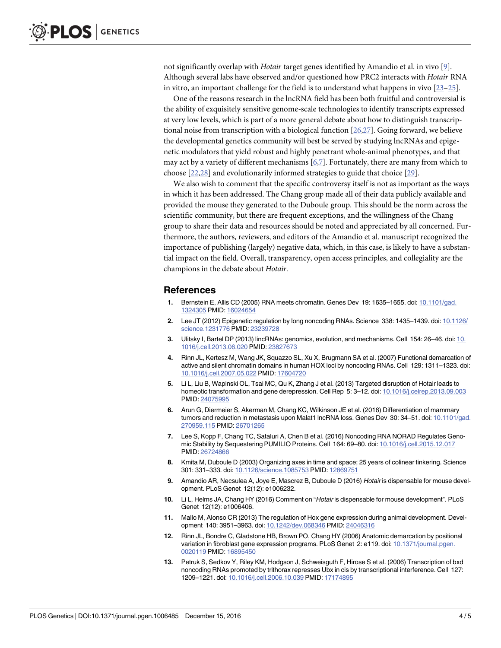<span id="page-3-0"></span>not significantly overlap with *Hotair* target genes identified by Amandio et al. in vivo [9]. Although several labs have observed and/or questioned how PRC2 interacts with *Hotair* RNA in vitro, an important challenge for the field is to understand what happens in vivo  $[23-25]$ .

One of the reasons research in the lncRNA field has been both fruitful and controversial is the ability of exquisitely sensitive genome-scale technologies to identify transcripts expressed at very low levels, which is part of a more general debate about how to distinguish transcriptional noise from transcription with a biological function [\[26](#page-4-0),[27](#page-4-0)]. Going forward, we believe the developmental genetics community will best be served by studying lncRNAs and epigenetic modulators that yield robust and highly penetrant whole-animal phenotypes, and that may act by a variety of different mechanisms [6,7]. Fortunately, there are many from which to choose [\[22,28](#page-4-0)] and evolutionarily informed strategies to guide that choice [[29](#page-4-0)].

We also wish to comment that the specific controversy itself is not as important as the ways in which it has been addressed. The Chang group made all of their data publicly available and provided the mouse they generated to the Duboule group. This should be the norm across the scientific community, but there are frequent exceptions, and the willingness of the Chang group to share their data and resources should be noted and appreciated by all concerned. Furthermore, the authors, reviewers, and editors of the Amandio et al. manuscript recognized the importance of publishing (largely) negative data, which, in this case, is likely to have a substantial impact on the field. Overall, transparency, open access principles, and collegiality are the champions in the debate about *Hotair*.

### **References**

- **[1](#page-0-0).** Bernstein E, Allis CD (2005) RNA meets chromatin. Genes Dev 19: 1635–1655. doi: [10.1101/gad.](http://dx.doi.org/10.1101/gad.1324305) [1324305](http://dx.doi.org/10.1101/gad.1324305) PMID: [16024654](http://www.ncbi.nlm.nih.gov/pubmed/16024654)
- **2.** Lee JT (2012) Epigenetic regulation by long noncoding RNAs. Science 338: 1435–1439. doi: [10.1126/](http://dx.doi.org/10.1126/science.1231776) [science.1231776](http://dx.doi.org/10.1126/science.1231776) PMID: [23239728](http://www.ncbi.nlm.nih.gov/pubmed/23239728)
- **[3](#page-0-0).** Ulitsky I, Bartel DP (2013) lincRNAs: genomics, evolution, and mechanisms. Cell 154: 26–46. doi: [10.](http://dx.doi.org/10.1016/j.cell.2013.06.020) [1016/j.cell.2013.06.020](http://dx.doi.org/10.1016/j.cell.2013.06.020) PMID: [23827673](http://www.ncbi.nlm.nih.gov/pubmed/23827673)
- **[4](#page-0-0).** Rinn JL, Kertesz M, Wang JK, Squazzo SL, Xu X, Brugmann SA et al. (2007) Functional demarcation of active and silent chromatin domains in human HOX loci by noncoding RNAs. Cell 129: 1311–1323. doi: [10.1016/j.cell.2007.05.022](http://dx.doi.org/10.1016/j.cell.2007.05.022) PMID: [17604720](http://www.ncbi.nlm.nih.gov/pubmed/17604720)
- **[5](#page-0-0).** Li L, Liu B, Wapinski OL, Tsai MC, Qu K, Zhang J et al. (2013) Targeted disruption of Hotair leads to homeotic transformation and gene derepression. Cell Rep 5: 3–12. doi: [10.1016/j.celrep.2013.09.003](http://dx.doi.org/10.1016/j.celrep.2013.09.003) PMID: [24075995](http://www.ncbi.nlm.nih.gov/pubmed/24075995)
- **[6](#page-0-0).** Arun G, Diermeier S, Akerman M, Chang KC, Wilkinson JE et al. (2016) Differentiation of mammary tumors and reduction in metastasis upon Malat1 lncRNA loss. Genes Dev 30: 34–51. doi: [10.1101/gad.](http://dx.doi.org/10.1101/gad.270959.115) [270959.115](http://dx.doi.org/10.1101/gad.270959.115) PMID: [26701265](http://www.ncbi.nlm.nih.gov/pubmed/26701265)
- **[7](#page-0-0).** Lee S, Kopp F, Chang TC, Sataluri A, Chen B et al. (2016) Noncoding RNA NORAD Regulates Genomic Stability by Sequestering PUMILIO Proteins. Cell 164: 69–80. doi: [10.1016/j.cell.2015.12.017](http://dx.doi.org/10.1016/j.cell.2015.12.017) PMID: [26724866](http://www.ncbi.nlm.nih.gov/pubmed/26724866)
- **[8](#page-0-0).** Kmita M, Duboule D (2003) Organizing axes in time and space; 25 years of colinear tinkering. Science 301: 331–333. doi: [10.1126/science.1085753](http://dx.doi.org/10.1126/science.1085753) PMID: [12869751](http://www.ncbi.nlm.nih.gov/pubmed/12869751)
- **[9](#page-0-0).** Amandio AR, Necsulea A, Joye E, Mascrez B, Duboule D (2016) Hotair is dispensable for mouse development. PLoS Genet 12(12): e1006232.
- **[10](#page-0-0).** Li L, Helms JA, Chang HY (2016) Comment on "Hotair is dispensable for mouse development". PLoS Genet 12(12): e1006406.
- **[11](#page-0-0).** Mallo M, Alonso CR (2013) The regulation of Hox gene expression during animal development. Development 140: 3951–3963. doi: [10.1242/dev.068346](http://dx.doi.org/10.1242/dev.068346) PMID: [24046316](http://www.ncbi.nlm.nih.gov/pubmed/24046316)
- **[12](#page-0-0).** Rinn JL, Bondre C, Gladstone HB, Brown PO, Chang HY (2006) Anatomic demarcation by positional variation in fibroblast gene expression programs. PLoS Genet 2: e119. doi: [10.1371/journal.pgen.](http://dx.doi.org/10.1371/journal.pgen.0020119) [0020119](http://dx.doi.org/10.1371/journal.pgen.0020119) PMID: [16895450](http://www.ncbi.nlm.nih.gov/pubmed/16895450)
- **[13](#page-1-0).** Petruk S, Sedkov Y, Riley KM, Hodgson J, Schweisguth F, Hirose S et al. (2006) Transcription of bxd noncoding RNAs promoted by trithorax represses Ubx in cis by transcriptional interference. Cell 127: 1209–1221. doi: [10.1016/j.cell.2006.10.039](http://dx.doi.org/10.1016/j.cell.2006.10.039) PMID: [17174895](http://www.ncbi.nlm.nih.gov/pubmed/17174895)